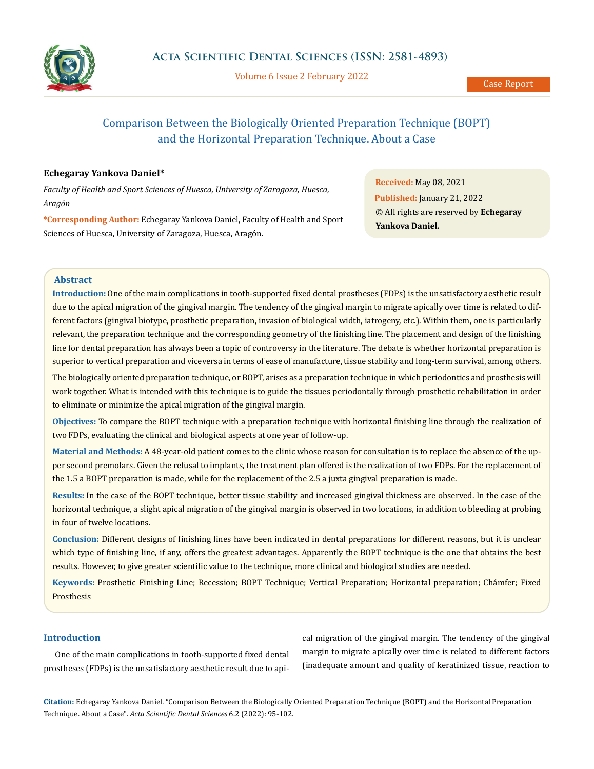

Volume 6 Issue 2 February 2022

# Comparison Between the Biologically Oriented Preparation Technique (BOPT) and the Horizontal Preparation Technique. About a Case

# **Echegaray Yankova Daniel\***

*Faculty of Health and Sport Sciences of Huesca, University of Zaragoza, Huesca, Aragón*

**\*Corresponding Author:** Echegaray Yankova Daniel, Faculty of Health and Sport Sciences of Huesca, University of Zaragoza, Huesca, Aragón.

**Received:** May 08, 2021 **Published:** January 21, 2022 © All rights are reserved by **Echegaray Yankova Daniel***.*

# **Abstract**

**Introduction:** One of the main complications in tooth-supported fixed dental prostheses (FDPs) is the unsatisfactory aesthetic result due to the apical migration of the gingival margin. The tendency of the gingival margin to migrate apically over time is related to different factors (gingival biotype, prosthetic preparation, invasion of biological width, iatrogeny, etc.). Within them, one is particularly relevant, the preparation technique and the corresponding geometry of the finishing line. The placement and design of the finishing line for dental preparation has always been a topic of controversy in the literature. The debate is whether horizontal preparation is superior to vertical preparation and viceversa in terms of ease of manufacture, tissue stability and long-term survival, among others.

The biologically oriented preparation technique, or BOPT, arises as a preparation technique in which periodontics and prosthesis will work together. What is intended with this technique is to guide the tissues periodontally through prosthetic rehabilitation in order to eliminate or minimize the apical migration of the gingival margin.

**Objectives:** To compare the BOPT technique with a preparation technique with horizontal finishing line through the realization of two FDPs, evaluating the clinical and biological aspects at one year of follow-up.

**Material and Methods:** A 48-year-old patient comes to the clinic whose reason for consultation is to replace the absence of the upper second premolars. Given the refusal to implants, the treatment plan offered is the realization of two FDPs. For the replacement of the 1.5 a BOPT preparation is made, while for the replacement of the 2.5 a juxta gingival preparation is made.

**Results:** In the case of the BOPT technique, better tissue stability and increased gingival thickness are observed. In the case of the horizontal technique, a slight apical migration of the gingival margin is observed in two locations, in addition to bleeding at probing in four of twelve locations.

**Conclusion:** Different designs of finishing lines have been indicated in dental preparations for different reasons, but it is unclear which type of finishing line, if any, offers the greatest advantages. Apparently the BOPT technique is the one that obtains the best results. However, to give greater scientific value to the technique, more clinical and biological studies are needed.

**Keywords:** Prosthetic Finishing Line; Recession; BOPT Technique; Vertical Preparation; Horizontal preparation; Chámfer; Fixed Prosthesis

# **Introduction**

One of the main complications in tooth-supported fixed dental prostheses (FDPs) is the unsatisfactory aesthetic result due to apical migration of the gingival margin. The tendency of the gingival margin to migrate apically over time is related to different factors (inadequate amount and quality of keratinized tissue, reaction to

**Citation:** Echegaray Yankova Daniel*.* "Comparison Between the Biologically Oriented Preparation Technique (BOPT) and the Horizontal Preparation Technique. About a Case". *Acta Scientific Dental Sciences* 6.2 (2022): 95-102.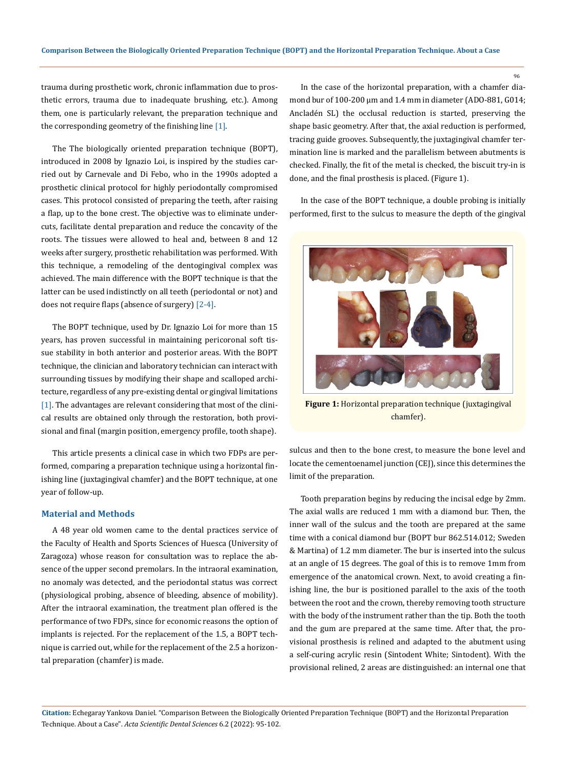trauma during prosthetic work, chronic inflammation due to prosthetic errors, trauma due to inadequate brushing, etc.). Among them, one is particularly relevant, the preparation technique and the corresponding geometry of the finishing line  $[1]$ .

The The biologically oriented preparation technique (BOPT), introduced in 2008 by Ignazio Loi, is inspired by the studies carried out by Carnevale and Di Febo, who in the 1990s adopted a prosthetic clinical protocol for highly periodontally compromised cases. This protocol consisted of preparing the teeth, after raising a flap, up to the bone crest. The objective was to eliminate undercuts, facilitate dental preparation and reduce the concavity of the roots. The tissues were allowed to heal and, between 8 and 12 weeks after surgery, prosthetic rehabilitation was performed. With this technique, a remodeling of the dentogingival complex was achieved. The main difference with the BOPT technique is that the latter can be used indistinctly on all teeth (periodontal or not) and does not require flaps (absence of surgery) [2-4].

The BOPT technique, used by Dr. Ignazio Loi for more than 15 years, has proven successful in maintaining pericoronal soft tissue stability in both anterior and posterior areas. With the BOPT technique, the clinician and laboratory technician can interact with surrounding tissues by modifying their shape and scalloped architecture, regardless of any pre-existing dental or gingival limitations [1]. The advantages are relevant considering that most of the clinical results are obtained only through the restoration, both provisional and final (margin position, emergency profile, tooth shape).

This article presents a clinical case in which two FDPs are performed, comparing a preparation technique using a horizontal finishing line (juxtagingival chamfer) and the BOPT technique, at one year of follow-up.

# **Material and Methods**

A 48 year old women came to the dental practices service of the Faculty of Health and Sports Sciences of Huesca (University of Zaragoza) whose reason for consultation was to replace the absence of the upper second premolars. In the intraoral examination, no anomaly was detected, and the periodontal status was correct (physiological probing, absence of bleeding, absence of mobility). After the intraoral examination, the treatment plan offered is the performance of two FDPs, since for economic reasons the option of implants is rejected. For the replacement of the 1.5, a BOPT technique is carried out, while for the replacement of the 2.5 a horizontal preparation (chamfer) is made.

In the case of the horizontal preparation, with a chamfer diamond bur of 100-200 µm and 1.4 mm in diameter (ADO-881, G014; Ancladén SL) the occlusal reduction is started, preserving the shape basic geometry. After that, the axial reduction is performed, tracing guide grooves. Subsequently, the juxtagingival chamfer termination line is marked and the parallelism between abutments is checked. Finally, the fit of the metal is checked, the biscuit try-in is done, and the final prosthesis is placed. (Figure 1).

In the case of the BOPT technique, a double probing is initially performed, first to the sulcus to measure the depth of the gingival



**Figure 1:** Horizontal preparation technique (juxtagingival chamfer).

sulcus and then to the bone crest, to measure the bone level and locate the cementoenamel junction (CEJ), since this determines the limit of the preparation.

Tooth preparation begins by reducing the incisal edge by 2mm. The axial walls are reduced 1 mm with a diamond bur. Then, the inner wall of the sulcus and the tooth are prepared at the same time with a conical diamond bur (BOPT bur 862.514.012; Sweden & Martina) of 1.2 mm diameter. The bur is inserted into the sulcus at an angle of 15 degrees. The goal of this is to remove 1mm from emergence of the anatomical crown. Next, to avoid creating a finishing line, the bur is positioned parallel to the axis of the tooth between the root and the crown, thereby removing tooth structure with the body of the instrument rather than the tip. Both the tooth and the gum are prepared at the same time. After that, the provisional prosthesis is relined and adapted to the abutment using a self-curing acrylic resin (Sintodent White; Sintodent). With the provisional relined, 2 areas are distinguished: an internal one that

**Citation:** Echegaray Yankova Daniel*.* "Comparison Between the Biologically Oriented Preparation Technique (BOPT) and the Horizontal Preparation Technique. About a Case". *Acta Scientific Dental Sciences* 6.2 (2022): 95-102.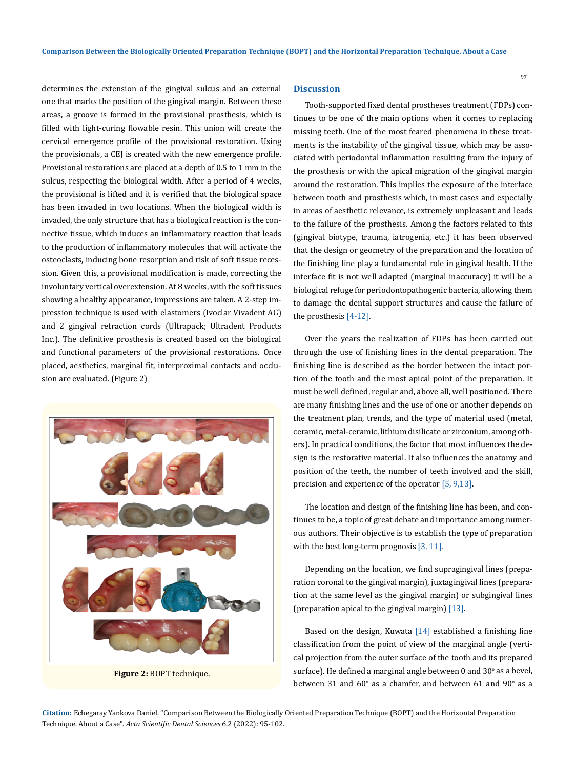determines the extension of the gingival sulcus and an external one that marks the position of the gingival margin. Between these areas, a groove is formed in the provisional prosthesis, which is filled with light-curing flowable resin. This union will create the cervical emergence profile of the provisional restoration. Using the provisionals, a CEJ is created with the new emergence profile. Provisional restorations are placed at a depth of 0.5 to 1 mm in the sulcus, respecting the biological width. After a period of 4 weeks, the provisional is lifted and it is verified that the biological space has been invaded in two locations. When the biological width is invaded, the only structure that has a biological reaction is the connective tissue, which induces an inflammatory reaction that leads to the production of inflammatory molecules that will activate the osteoclasts, inducing bone resorption and risk of soft tissue recession. Given this, a provisional modification is made, correcting the involuntary vertical overextension. At 8 weeks, with the soft tissues showing a healthy appearance, impressions are taken. A 2-step impression technique is used with elastomers (Ivoclar Vivadent AG) and 2 gingival retraction cords (Ultrapack; Ultradent Products Inc.). The definitive prosthesis is created based on the biological and functional parameters of the provisional restorations. Once placed, aesthetics, marginal fit, interproximal contacts and occlusion are evaluated. (Figure 2)



**Figure 2:** BOPT technique.

## **Discussion**

Tooth-supported fixed dental prostheses treatment (FDPs) continues to be one of the main options when it comes to replacing missing teeth. One of the most feared phenomena in these treatments is the instability of the gingival tissue, which may be associated with periodontal inflammation resulting from the injury of the prosthesis or with the apical migration of the gingival margin around the restoration. This implies the exposure of the interface between tooth and prosthesis which, in most cases and especially in areas of aesthetic relevance, is extremely unpleasant and leads to the failure of the prosthesis. Among the factors related to this (gingival biotype, trauma, iatrogenia, etc.) it has been observed that the design or geometry of the preparation and the location of the finishing line play a fundamental role in gingival health. If the interface fit is not well adapted (marginal inaccuracy) it will be a biological refuge for periodontopathogenic bacteria, allowing them to damage the dental support structures and cause the failure of the prosthesis [4-12].

Over the years the realization of FDPs has been carried out through the use of finishing lines in the dental preparation. The finishing line is described as the border between the intact portion of the tooth and the most apical point of the preparation. It must be well defined, regular and, above all, well positioned. There are many finishing lines and the use of one or another depends on the treatment plan, trends, and the type of material used (metal, ceramic, metal-ceramic, lithium disilicate or zirconium, among others). In practical conditions, the factor that most influences the design is the restorative material. It also influences the anatomy and position of the teeth, the number of teeth involved and the skill, precision and experience of the operator [5, 9,13].

The location and design of the finishing line has been, and continues to be, a topic of great debate and importance among numerous authors. Their objective is to establish the type of preparation with the best long-term prognosis [3, 11].

Depending on the location, we find supragingival lines (preparation coronal to the gingival margin), juxtagingival lines (preparation at the same level as the gingival margin) or subgingival lines (preparation apical to the gingival margin) [13].

Based on the design, Kuwata  $[14]$  established a finishing line classification from the point of view of the marginal angle (vertical projection from the outer surface of the tooth and its prepared surface). He defined a marginal angle between  $0$  and  $30^{\circ}$  as a bevel, between 31 and  $60^{\circ}$  as a chamfer, and between 61 and  $90^{\circ}$  as a

**Citation:** Echegaray Yankova Daniel*.* "Comparison Between the Biologically Oriented Preparation Technique (BOPT) and the Horizontal Preparation Technique. About a Case". *Acta Scientific Dental Sciences* 6.2 (2022): 95-102.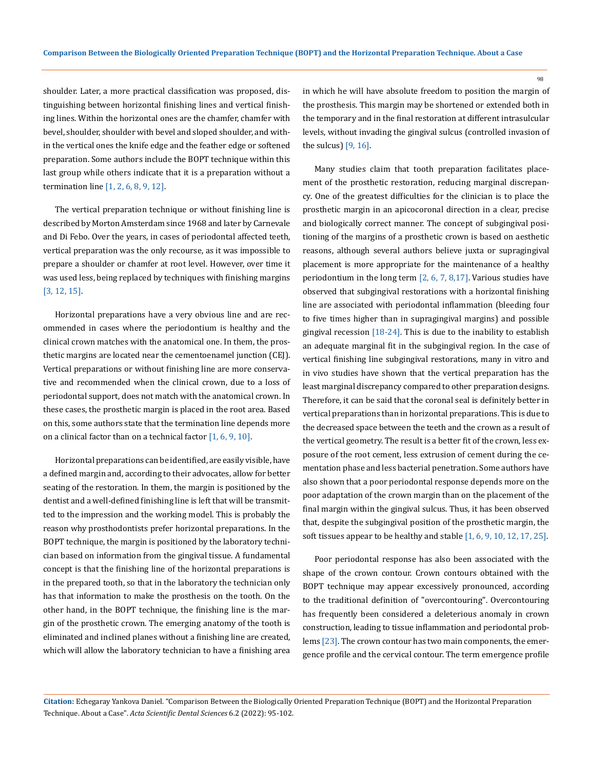shoulder. Later, a more practical classification was proposed, distinguishing between horizontal finishing lines and vertical finishing lines. Within the horizontal ones are the chamfer, chamfer with bevel, shoulder, shoulder with bevel and sloped shoulder, and within the vertical ones the knife edge and the feather edge or softened preparation. Some authors include the BOPT technique within this last group while others indicate that it is a preparation without a termination line [1, 2, 6, 8, 9, 12].

The vertical preparation technique or without finishing line is described by Morton Amsterdam since 1968 and later by Carnevale and Di Febo. Over the years, in cases of periodontal affected teeth, vertical preparation was the only recourse, as it was impossible to prepare a shoulder or chamfer at root level. However, over time it was used less, being replaced by techniques with finishing margins [3, 12, 15].

Horizontal preparations have a very obvious line and are recommended in cases where the periodontium is healthy and the clinical crown matches with the anatomical one. In them, the prosthetic margins are located near the cementoenamel junction (CEJ). Vertical preparations or without finishing line are more conservative and recommended when the clinical crown, due to a loss of periodontal support, does not match with the anatomical crown. In these cases, the prosthetic margin is placed in the root area. Based on this, some authors state that the termination line depends more on a clinical factor than on a technical factor [1, 6, 9, 10].

Horizontal preparations can be identified, are easily visible, have a defined margin and, according to their advocates, allow for better seating of the restoration. In them, the margin is positioned by the dentist and a well-defined finishing line is left that will be transmitted to the impression and the working model. This is probably the reason why prosthodontists prefer horizontal preparations. In the BOPT technique, the margin is positioned by the laboratory technician based on information from the gingival tissue. A fundamental concept is that the finishing line of the horizontal preparations is in the prepared tooth, so that in the laboratory the technician only has that information to make the prosthesis on the tooth. On the other hand, in the BOPT technique, the finishing line is the margin of the prosthetic crown. The emerging anatomy of the tooth is eliminated and inclined planes without a finishing line are created, which will allow the laboratory technician to have a finishing area in which he will have absolute freedom to position the margin of the prosthesis. This margin may be shortened or extended both in the temporary and in the final restoration at different intrasulcular levels, without invading the gingival sulcus (controlled invasion of the sulcus)  $[9, 16]$ .

Many studies claim that tooth preparation facilitates placement of the prosthetic restoration, reducing marginal discrepancy. One of the greatest difficulties for the clinician is to place the prosthetic margin in an apicocoronal direction in a clear, precise and biologically correct manner. The concept of subgingival positioning of the margins of a prosthetic crown is based on aesthetic reasons, although several authors believe juxta or supragingival placement is more appropriate for the maintenance of a healthy periodontium in the long term [2, 6, 7, 8,17]. Various studies have observed that subgingival restorations with a horizontal finishing line are associated with periodontal inflammation (bleeding four to five times higher than in supragingival margins) and possible gingival recession [18-24]. This is due to the inability to establish an adequate marginal fit in the subgingival region. In the case of vertical finishing line subgingival restorations, many in vitro and in vivo studies have shown that the vertical preparation has the least marginal discrepancy compared to other preparation designs. Therefore, it can be said that the coronal seal is definitely better in vertical preparations than in horizontal preparations. This is due to the decreased space between the teeth and the crown as a result of the vertical geometry. The result is a better fit of the crown, less exposure of the root cement, less extrusion of cement during the cementation phase and less bacterial penetration. Some authors have also shown that a poor periodontal response depends more on the poor adaptation of the crown margin than on the placement of the final margin within the gingival sulcus. Thus, it has been observed that, despite the subgingival position of the prosthetic margin, the soft tissues appear to be healthy and stable [1, 6, 9, 10, 12, 17, 25].

Poor periodontal response has also been associated with the shape of the crown contour. Crown contours obtained with the BOPT technique may appear excessively pronounced, according to the traditional definition of "overcontouring". Overcontouring has frequently been considered a deleterious anomaly in crown construction, leading to tissue inflammation and periodontal problems [23]. The crown contour has two main components, the emergence profile and the cervical contour. The term emergence profile

**Citation:** Echegaray Yankova Daniel*.* "Comparison Between the Biologically Oriented Preparation Technique (BOPT) and the Horizontal Preparation Technique. About a Case". *Acta Scientific Dental Sciences* 6.2 (2022): 95-102.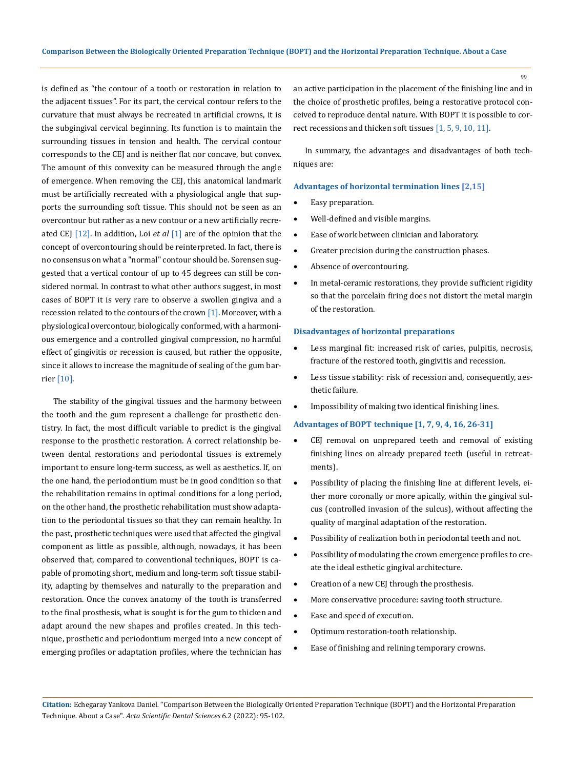is defined as "the contour of a tooth or restoration in relation to the adjacent tissues". For its part, the cervical contour refers to the curvature that must always be recreated in artificial crowns, it is the subgingival cervical beginning. Its function is to maintain the surrounding tissues in tension and health. The cervical contour corresponds to the CEJ and is neither flat nor concave, but convex. The amount of this convexity can be measured through the angle of emergence. When removing the CEJ, this anatomical landmark must be artificially recreated with a physiological angle that supports the surrounding soft tissue. This should not be seen as an overcontour but rather as a new contour or a new artificially recreated CEJ [12]. In addition, Loi *et al* [1] are of the opinion that the concept of overcontouring should be reinterpreted. In fact, there is no consensus on what a "normal" contour should be. Sorensen suggested that a vertical contour of up to 45 degrees can still be considered normal. In contrast to what other authors suggest, in most cases of BOPT it is very rare to observe a swollen gingiva and a recession related to the contours of the crown [1]. Moreover, with a physiological overcontour, biologically conformed, with a harmonious emergence and a controlled gingival compression, no harmful effect of gingivitis or recession is caused, but rather the opposite, since it allows to increase the magnitude of sealing of the gum barrier [10].

The stability of the gingival tissues and the harmony between the tooth and the gum represent a challenge for prosthetic dentistry. In fact, the most difficult variable to predict is the gingival response to the prosthetic restoration. A correct relationship between dental restorations and periodontal tissues is extremely important to ensure long-term success, as well as aesthetics. If, on the one hand, the periodontium must be in good condition so that the rehabilitation remains in optimal conditions for a long period, on the other hand, the prosthetic rehabilitation must show adaptation to the periodontal tissues so that they can remain healthy. In the past, prosthetic techniques were used that affected the gingival component as little as possible, although, nowadays, it has been observed that, compared to conventional techniques, BOPT is capable of promoting short, medium and long-term soft tissue stability, adapting by themselves and naturally to the preparation and restoration. Once the convex anatomy of the tooth is transferred to the final prosthesis, what is sought is for the gum to thicken and adapt around the new shapes and profiles created. In this technique, prosthetic and periodontium merged into a new concept of emerging profiles or adaptation profiles, where the technician has

an active participation in the placement of the finishing line and in the choice of prosthetic profiles, being a restorative protocol conceived to reproduce dental nature. With BOPT it is possible to correct recessions and thicken soft tissues [1, 5, 9, 10, 11].

In summary, the advantages and disadvantages of both techniques are:

#### **Advantages of horizontal termination lines [2,15]**

- Easy preparation.
- Well-defined and visible margins.
- • Ease of work between clinician and laboratory.
- • Greater precision during the construction phases.
- Absence of overcontouring.
- In metal-ceramic restorations, they provide sufficient rigidity so that the porcelain firing does not distort the metal margin of the restoration.

#### **Disadvantages of horizontal preparations**

- Less marginal fit: increased risk of caries, pulpitis, necrosis, fracture of the restored tooth, gingivitis and recession.
- Less tissue stability: risk of recession and, consequently, aesthetic failure.
- Impossibility of making two identical finishing lines.

### **Advantages of BOPT technique [1, 7, 9, 4, 16, 26-31]**

- • CEJ removal on unprepared teeth and removal of existing finishing lines on already prepared teeth (useful in retreatments).
- Possibility of placing the finishing line at different levels, either more coronally or more apically, within the gingival sulcus (controlled invasion of the sulcus), without affecting the quality of marginal adaptation of the restoration.
- Possibility of realization both in periodontal teeth and not.
- Possibility of modulating the crown emergence profiles to create the ideal esthetic gingival architecture.
- Creation of a new CEJ through the prosthesis.
- More conservative procedure: saving tooth structure.
- • Ease and speed of execution.
- Optimum restoration-tooth relationship.
- Ease of finishing and relining temporary crowns.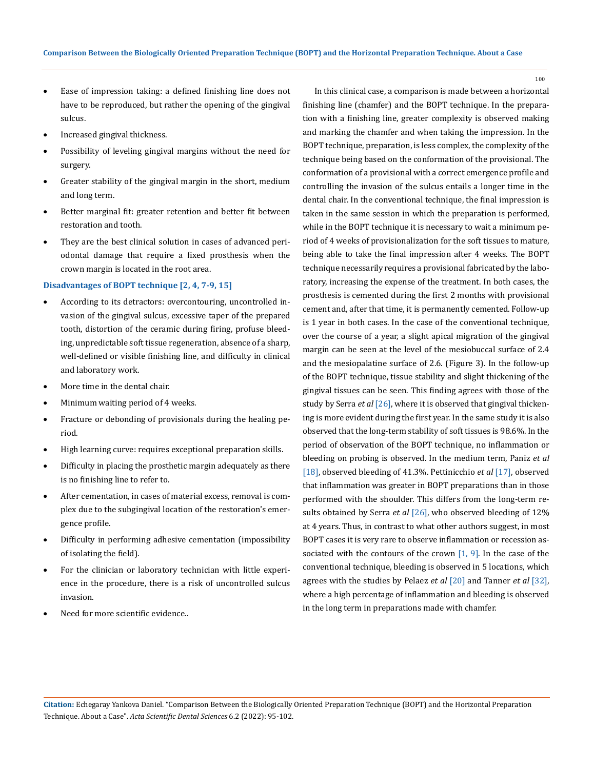- • Ease of impression taking: a defined finishing line does not have to be reproduced, but rather the opening of the gingival sulcus.
- Increased gingival thickness.
- Possibility of leveling gingival margins without the need for surgery.
- • Greater stability of the gingival margin in the short, medium and long term.
- • Better marginal fit: greater retention and better fit between restoration and tooth.
- They are the best clinical solution in cases of advanced periodontal damage that require a fixed prosthesis when the crown margin is located in the root area.

### **Disadvantages of BOPT technique [2, 4, 7-9, 15]**

- According to its detractors: overcontouring, uncontrolled invasion of the gingival sulcus, excessive taper of the prepared tooth, distortion of the ceramic during firing, profuse bleeding, unpredictable soft tissue regeneration, absence of a sharp, well-defined or visible finishing line, and difficulty in clinical and laboratory work.
- More time in the dental chair.
- Minimum waiting period of 4 weeks.
- Fracture or debonding of provisionals during the healing period.
- • High learning curve: requires exceptional preparation skills.
- Difficulty in placing the prosthetic margin adequately as there is no finishing line to refer to.
- • After cementation, in cases of material excess, removal is complex due to the subgingival location of the restoration's emergence profile.
- • Difficulty in performing adhesive cementation (impossibility of isolating the field).
- • For the clinician or laboratory technician with little experience in the procedure, there is a risk of uncontrolled sulcus invasion.
- Need for more scientific evidence..

In this clinical case, a comparison is made between a horizontal finishing line (chamfer) and the BOPT technique. In the preparation with a finishing line, greater complexity is observed making and marking the chamfer and when taking the impression. In the BOPT technique, preparation, is less complex, the complexity of the technique being based on the conformation of the provisional. The conformation of a provisional with a correct emergence profile and controlling the invasion of the sulcus entails a longer time in the dental chair. In the conventional technique, the final impression is taken in the same session in which the preparation is performed, while in the BOPT technique it is necessary to wait a minimum period of 4 weeks of provisionalization for the soft tissues to mature, being able to take the final impression after 4 weeks. The BOPT technique necessarily requires a provisional fabricated by the laboratory, increasing the expense of the treatment. In both cases, the prosthesis is cemented during the first 2 months with provisional cement and, after that time, it is permanently cemented. Follow-up is 1 year in both cases. In the case of the conventional technique, over the course of a year, a slight apical migration of the gingival margin can be seen at the level of the mesiobuccal surface of 2.4 and the mesiopalatine surface of 2.6. (Figure 3). In the follow-up of the BOPT technique, tissue stability and slight thickening of the gingival tissues can be seen. This finding agrees with those of the study by Serra *et al* [26], where it is observed that gingival thickening is more evident during the first year. In the same study it is also observed that the long-term stability of soft tissues is 98.6%. In the period of observation of the BOPT technique, no inflammation or bleeding on probing is observed. In the medium term, Paniz *et al*  [18], observed bleeding of 41.3%. Pettinicchio *et al* [17], observed that inflammation was greater in BOPT preparations than in those performed with the shoulder. This differs from the long-term results obtained by Serra *et al* [26], who observed bleeding of 12% at 4 years. Thus, in contrast to what other authors suggest, in most BOPT cases it is very rare to observe inflammation or recession associated with the contours of the crown  $[1, 9]$ . In the case of the conventional technique, bleeding is observed in 5 locations, which agrees with the studies by Pelaez *et al* [20] and Tanner *et al* [32], where a high percentage of inflammation and bleeding is observed in the long term in preparations made with chamfer.

**Citation:** Echegaray Yankova Daniel*.* "Comparison Between the Biologically Oriented Preparation Technique (BOPT) and the Horizontal Preparation Technique. About a Case". *Acta Scientific Dental Sciences* 6.2 (2022): 95-102.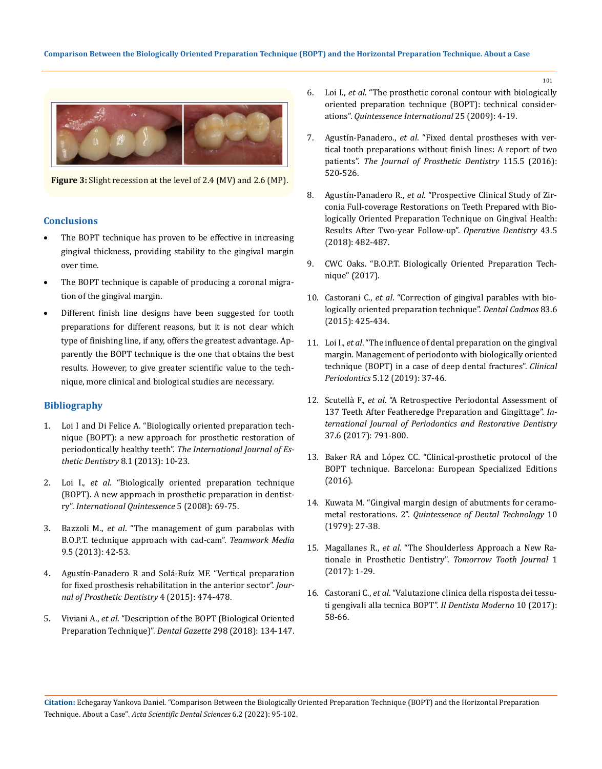

**Figure 3:** Slight recession at the level of 2.4 (MV) and 2.6 (MP).

# **Conclusions**

- The BOPT technique has proven to be effective in increasing gingival thickness, providing stability to the gingival margin over time.
- The BOPT technique is capable of producing a coronal migration of the gingival margin.
- • Different finish line designs have been suggested for tooth preparations for different reasons, but it is not clear which type of finishing line, if any, offers the greatest advantage. Apparently the BOPT technique is the one that obtains the best results. However, to give greater scientific value to the technique, more clinical and biological studies are necessary.

## **Bibliography**

- 1. [Loi I and Di Felice A. "Biologically oriented preparation tech](https://pubmed.ncbi.nlm.nih.gov/23390618/)[nique \(BOPT\): a new approach for prosthetic restoration of](https://pubmed.ncbi.nlm.nih.gov/23390618/)  periodontically healthy teeth". *[The International Journal of Es](https://pubmed.ncbi.nlm.nih.gov/23390618/)[thetic Dentistry](https://pubmed.ncbi.nlm.nih.gov/23390618/)* 8.1 (2013): 10-23.
- 2. Loi I., *et al*. "Biologically oriented preparation technique (BOPT). A new approach in prosthetic preparation in dentistry". *International Quintessence* 5 (2008): 69-75.
- 3. Bazzoli M., *et al*. "The management of gum parabolas with B.O.P.T. technique approach with cad-cam". *Teamwork Media* 9.5 (2013): 42-53.
- 4. [Agustín-Panadero R and Solá-Ruíz MF. "Vertical preparation](https://pubmed.ncbi.nlm.nih.gov/26213268/)  [for fixed prosthesis rehabilitation in the anterior sector".](https://pubmed.ncbi.nlm.nih.gov/26213268/) *Jour[nal of Prosthetic Dentistry](https://pubmed.ncbi.nlm.nih.gov/26213268/)* 4 (2015): 474-478.
- 5. Viviani A., *et al*. "Description of the BOPT (Biological Oriented Preparation Technique)". *Dental Gazette* 298 (2018): 134-147.
- 6. Loi I., *et al*. "The prosthetic coronal contour with biologically oriented preparation technique (BOPT): technical considerations". *Quintessence International* 25 (2009): 4-19.
- 7. Agustín-Panadero., *et al*[. "Fixed dental prostheses with ver](https://pubmed.ncbi.nlm.nih.gov/26774314/)[tical tooth preparations without finish lines: A report of two](https://pubmed.ncbi.nlm.nih.gov/26774314/)  patients". *[The Journal of Prosthetic Dentistry](https://pubmed.ncbi.nlm.nih.gov/26774314/)* 115.5 (2016): [520-526.](https://pubmed.ncbi.nlm.nih.gov/26774314/)
- 8. Agustín-Panadero R., *et al*[. "Prospective Clinical Study of Zir](https://pubmed.ncbi.nlm.nih.gov/29513640/)[conia Full-coverage Restorations on Teeth Prepared with Bio](https://pubmed.ncbi.nlm.nih.gov/29513640/)[logically Oriented Preparation Technique on Gingival Health:](https://pubmed.ncbi.nlm.nih.gov/29513640/)  [Results After Two-year Follow-up".](https://pubmed.ncbi.nlm.nih.gov/29513640/) *Operative Dentistry* 43.5 [\(2018\): 482-487.](https://pubmed.ncbi.nlm.nih.gov/29513640/)
- 9. CWC Oaks. "B.O.P.T. Biologically Oriented Preparation Technique" (2017).
- 10. Castorani C., *et al*. "Correction of gingival parables with biologically oriented preparation technique". *Dental Cadmos* 83.6 (2015): 425-434.
- 11. Loi I., *et al*. "The influence of dental preparation on the gingival margin. Management of periodonto with biologically oriented technique (BOPT) in a case of deep dental fractures". *Clinical Periodontics* 5.12 (2019): 37-46.
- 12. Scutellà F., *et al*[. "A Retrospective Periodontal Assessment of](https://pubmed.ncbi.nlm.nih.gov/29023608/)  [137 Teeth After Featheredge Preparation and Gingittage".](https://pubmed.ncbi.nlm.nih.gov/29023608/) *In[ternational Journal of Periodontics and Restorative Dentistry](https://pubmed.ncbi.nlm.nih.gov/29023608/)*  [37.6 \(2017\): 791-800.](https://pubmed.ncbi.nlm.nih.gov/29023608/)
- 13. Baker RA and López CC. "Clinical-prosthetic protocol of the BOPT technique. Barcelona: European Specialized Editions (2016).
- 14. Kuwata M. "Gingival margin design of abutments for ceramometal restorations. 2". *Quintessence of Dental Technology* 10 (1979): 27-38.
- 15. Magallanes R., *et al*[. "The Shoulderless Approach a New Ra](https://elearning.zeroinon.it/en/articles/the-shoulderless-approach-a-new-rationale-in-prosthetic-dentistry-brsmallrmagallanes-ramos-dclark-mmazza-pvenuti-mmaiolino-skopanja-vcirimpei-aatawfik-dbordonali-bacatrinei-jcsutradhar-mczerwinski-asienkiewicz-jkhademi)[tionale in Prosthetic Dentistry".](https://elearning.zeroinon.it/en/articles/the-shoulderless-approach-a-new-rationale-in-prosthetic-dentistry-brsmallrmagallanes-ramos-dclark-mmazza-pvenuti-mmaiolino-skopanja-vcirimpei-aatawfik-dbordonali-bacatrinei-jcsutradhar-mczerwinski-asienkiewicz-jkhademi) *Tomorrow Tooth Journal* 1 [\(2017\): 1-29.](https://elearning.zeroinon.it/en/articles/the-shoulderless-approach-a-new-rationale-in-prosthetic-dentistry-brsmallrmagallanes-ramos-dclark-mmazza-pvenuti-mmaiolino-skopanja-vcirimpei-aatawfik-dbordonali-bacatrinei-jcsutradhar-mczerwinski-asienkiewicz-jkhademi)
- 16. Castorani C., *et al*[. "Valutazione clinica della risposta dei tessu](https://www.ildentistamoderno.com/valutazione-clinica-della-risposta-dei-tessuti-gengivali-alla-tecnica-bopt/)[ti gengivali alla tecnica BOPT".](https://www.ildentistamoderno.com/valutazione-clinica-della-risposta-dei-tessuti-gengivali-alla-tecnica-bopt/) *Il Dentista Moderno* 10 (2017): [58-66.](https://www.ildentistamoderno.com/valutazione-clinica-della-risposta-dei-tessuti-gengivali-alla-tecnica-bopt/)

**Citation:** Echegaray Yankova Daniel*.* "Comparison Between the Biologically Oriented Preparation Technique (BOPT) and the Horizontal Preparation Technique. About a Case". *Acta Scientific Dental Sciences* 6.2 (2022): 95-102.